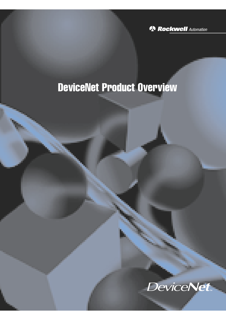**N** Rockwell Automation

# DeviceNet Product Overview

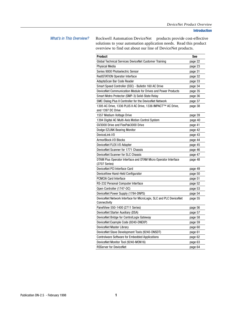What's in This Overview? Rockwell Automation DeviceNet™ products provide cost-effective solutions to your automation application needs. Read this product overview to find out about our line of DeviceNet products.

| <b>Product</b>                                                                    | See     |
|-----------------------------------------------------------------------------------|---------|
| Global Technical Services DeviceNet Customer Training                             | page 22 |
| <b>Physical Media</b>                                                             | page 23 |
| Series 9000 Photoelectric Sensor                                                  | page 31 |
| <b>RediSTATION Operator Interface</b>                                             | page 32 |
| AdaptaScan Bar Code Reader                                                        | page 33 |
| Smart Speed Controller (SSC) - Bulletin 160 AC Drive                              | page 34 |
| DeviceNet Communication Module for Drives and Power Products                      | page 35 |
| Smart Motro Protector (SMP-3) Solid-State Relay                                   | page 36 |
| SMC Dialog Plus II Controller for the DeviceNet Network                           | page 37 |
| 1305 AC Drive, 1336 PLUS II AC Drive, 1336 IMPACT™ AC Drive,<br>and 1397 DC Drive | page 38 |
| 1557 Medium Voltage Drive                                                         | page 39 |
| 1394 Digital AC Multi-Axis Motion Control System                                  | page 40 |
| GV3000 Drive and FlexPak3000 Drive                                                | page 41 |
| Dodge EZLINK Bearing Monitor                                                      | page 42 |
| DeviceLink I/O                                                                    | page 43 |
| ArmorBlock I/O Blocks                                                             | page 44 |
| DeviceNet FLEX I/O Adapter                                                        | page 45 |
| DeviceNet Scanner for 1771 Chassis                                                | page 46 |
| DeviceNet Scanner for SLC Chassis                                                 | page 47 |
| DTAM Plus Operator Interface and DTAM Micro Operator Interface<br>$(2707$ Series) | page 48 |
| DeviceNet PCI Interface Card                                                      | page 49 |
| DeviceView Hand-Held Configurator                                                 | page 50 |
| <b>PCMCIA Card Interface</b>                                                      | page 51 |
| RS-232 Personal Computer Interface                                                | page 52 |
| Open Controller (1747-OC)                                                         | page 53 |
| DeviceNet Power Supply (1784-DNPS)                                                | page 54 |
| DeviceNet Network Interface for MicroLogix, SLC and PLC DeviceNet<br>Connectivity | page 55 |
| PanelView 550-1400 (2711 Series)                                                  | page 56 |
| DeviceNet Starter Auxiliary (DSA)                                                 | page 57 |
| DeviceNet Bridge for ControlLogix Gateway                                         | page 58 |
| DeviceNet Example Code (9240-DNEXP)                                               | page 59 |
| DeviceNet Master Library                                                          | page 60 |
| DeviceNet Slave Development Tools (9240-DNSDT)                                    | page 61 |
| <b>Controlware Software for Embedded Applications</b>                             | page 62 |
| DeviceNet Monitor Tool (9240-MON16)                                               | page 63 |
| <b>RSServer for DeviceNet</b>                                                     | page 64 |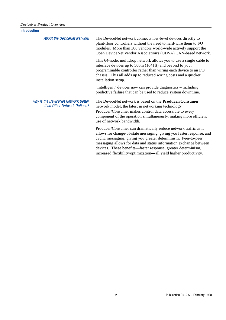| <b>Introduction</b>                                                |                                                                                                                                                                                                                                                                                                                                                                                                                       |
|--------------------------------------------------------------------|-----------------------------------------------------------------------------------------------------------------------------------------------------------------------------------------------------------------------------------------------------------------------------------------------------------------------------------------------------------------------------------------------------------------------|
| <b>About the DeviceNet Network</b>                                 | The DeviceNet network connects low-level devices directly to<br>plant-floor controllers without the need to hard-wire them to I/O<br>modules. More than 300 vendors world-wide actively support the<br>Open DeviceNet Vendor Association's (ODVA) CAN-based network.                                                                                                                                                  |
|                                                                    | This 64-node, multidrop network allows you to use a single cable to<br>interface devices up to 500m (1641ft) and beyond to your<br>programmable controller rather than wiring each device to an I/O<br>chassis. This all adds up to reduced wiring costs and a quicker<br>installation setup.                                                                                                                         |
|                                                                    | "Intelligent" devices now can provide diagnostics – including<br>predictive failure that can be used to reduce system downtime.                                                                                                                                                                                                                                                                                       |
| Why is the DeviceNet Network Better<br>than Other Network Options? | The DeviceNet network is based on the <b>Producer/Consumer</b><br>network model, the latest in networking technology.<br>Producer/Consumer makes control data accessible to every<br>component of the operation simultaneously, making more efficient<br>use of network bandwidth.                                                                                                                                    |
|                                                                    | Producer/Consumer can dramatically reduce network traffic as it<br>allows for change-of-state messaging, giving you faster response, and<br>cyclic messaging, giving you greater determinism. Peer-to-peer<br>messaging allows for data and status information exchange between<br>devices. These benefits—faster response, greater determinism,<br>increased flexibility/optimization-all yield higher productivity. |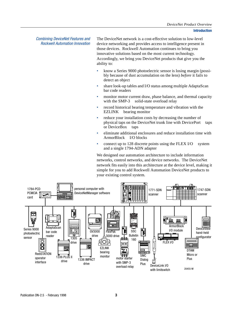Combining DeviceNet Features and Rockwell Automation Innovation

The DeviceNet network is a cost-effective solution to low-level device networking and provides access to intelligence present in those devices. Rockwell Automation continues to bring you innovative solutions based on the most current technology. Accordingly, we bring you DeviceNet products that give you the ability to:

- know a Series 9000 photoelectric sensor is losing margin (possibly because of dust accumulation on the lens) *before* it fails to detect an object
- share look-up tables and I/O status among multiple AdaptaScan<sup>TM</sup> bar code readers
- monitor motor current draw, phase balance, and thermal capacity with the SMP-3<sup>TM</sup> solid-state overload relay
- record historical bearing temperature and vibration with the  $EZLINK^{\text{TM}}$  bearing monitor
- reduce your installation costs by decreasing the number of physical taps on the DeviceNet trunk line with DevicePort™ taps or DeviceBox<sup> $TM$ </sup> taps
- eliminate additional enclosures and reduce installation time with ArmorBlock<sup>™</sup> I/O blocks
- connect up to 128 discrete points using the FLEX  $I/O^{TM}$  system and a single 1794-ADN adapter

We designed our automation architecture to include information networks, control networks, and device networks. The DeviceNet network fits easily into this architecture at the device level, making it simple for you to add Rockwell Automation DeviceNet products to your existing control system.

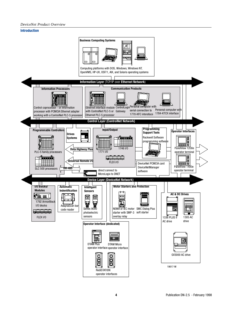#### *DeviceNet Product Overview*

## **Introduction**

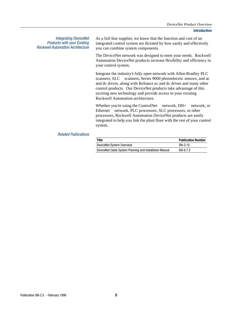Integrating DeviceNet Products with your Existing Rockwell Automation Architecture

As a full-line supplier, we know that the function and cost of an integrated control system are dictated by how easily and effectively you can combine system components.

The DeviceNet network was designed to meet your needs. Rockwell Automation DeviceNet products increase flexibility and efficiency in your control system.

Integrate the industry's fully open network with Allen-Bradley  $PLC^{\circledR}$ scanners, SLC<sup>TM</sup> scanners, Series 9000 photoelectric sensors, and ac and dc drives, along with Reliance ac and dc drives and many other control products. Our DeviceNet products take advantage of this exciting new technology and provide access to your existing Rockwell Automation architecture.

Whether you're using the ControlNet<sup>TM</sup> network, DH+<sup>TM</sup> network, or Ethernet<sup> $TM$ </sup> network, PLC processors, SLC processors, or other processors, Rockwell Automation DeviceNet products are easily integrated to help you link the plant floor with the rest of your control system.

### Related Publications

| Title                                                   | <b>Publication Number</b> |
|---------------------------------------------------------|---------------------------|
| DeviceNet System Overview                               | DN-2.15                   |
| DeviceNet Cable System Planning and Installation Manual | DN-6.7.2                  |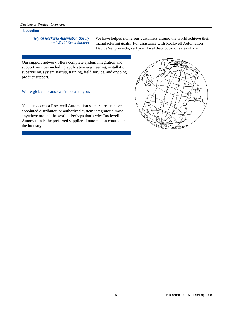#### *DeviceNet Product Overview*

## **Introduction**

Rely on Rockwell Automation Quality and World-Class Support

We have helped numerous customers around the world achieve their manufacturing goals. For assistance with Rockwell Automation DeviceNet products, call your local distributor or sales office.

Our support network offers complete system integration and support services including application engineering, installation supervision, system startup, training, field service, and ongoing product support.

We're global because we're local to you.

You can access a Rockwell Automation sales representative, appointed distributor, or authorized system integrator almost anywhere around the world. Perhaps that's why Rockwell Automation is the preferred supplier of automation controls in the industry.

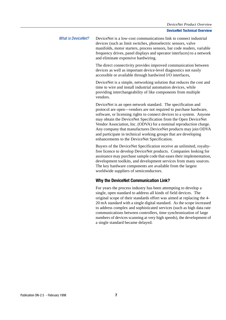## What is DeviceNet? DeviceNet is a low-cost communications link to connect industrial devices (such as limit switches, photoelectric sensors, valve manifolds, motor starters, process sensors, bar code readers, variable frequency drives, panel displays and operator interfaces) to a network and eliminate expensive hardwiring.

The direct connectivity provides improved communication between devices as well as important device-level diagnostics not easily accessible or available through hardwired I/O interfaces,

DeviceNet is a simple, networking solution that reduces the cost and time to wire and install industrial automation devices, while providing interchangeability of like components from multiple vendors.

DeviceNet is an open network standard. The specification and protocol are open—vendors are not required to purchase hardware, software, or licensing rights to connect devices to a system. Anyone may obtain the DeviceNet Specification from the Open DeviceNet Vendor Association, Inc. (ODVA) for a nominal reproduction charge. Any company that manufactures DeviceNet products may join ODVA and participate in technical working groups that are developing enhancements to the DeviceNet Specification.

Buyers of the DeviceNet Specification receive an unlimited, royaltyfree licence to develop DeviceNet products. Companies looking for assistance may purchase sample code that eases their implementation, development toolkits, and development services from many sources. The key hardware components are available from the largest worldwide suppliers of semiconductors.

# **Why the DeviceNet Communication Link?**

For years the process industry has been attempting to develop a single, open standard to address all kinds of field devices. The original scope of their standards effort was aimed at replacing the 4- 20 mA standard with a single digital standard. As the scope increased to address complex and sophisticated services (such as high data rate communications between controllers, time synchronization of large numbers of devices scanning at very high speeds), the development of a single standard became delayed.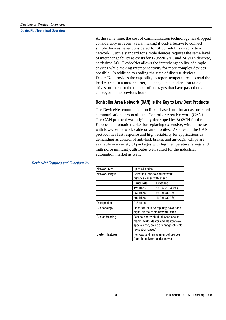At the same time, the cost of communication technology has dropped considerably in recent years, making it cost-effective to connect simple devices never considered for SP50 fieldbus directly to a network. Such a standard for simple devices requires the same level of interchangeability as exists for 120/220 VAC and 24 VDX discrete, hardwired I/O. DeviceNet allows the interchangeability of simple devices while making interconnectivity for more complex devices possible. In addition to reading the state of discrete devices, DeviceNet provides the capability to report temperatures, to read the load current in a motor starter, to change the deceleration rate of drives, or to count the number of packages that have passed on a conveyor in the previous hour.

## **Controller Area Network (CAN) is the Key to Low Cost Products**

The DeviceNet communication link is based on a broadcast-oriented, communications protocol—the Controller Area Network (CAN). The CAN protocol was originally developed by BOSCH for the European automatic market for replacing expensive, wire harnesses with low-cost network cable on automobiles. As a result, the CAN protocol has fast response and high reliability for applications as demanding as control of anti-lock brakes and air-bags. Chips are available in a variety of packages with high temperature ratings and high noise immunity, attributes well suited for the industrial automation market as well.

| Network Size    | Up to 64 nodes                                                                                                                                |                   |  |
|-----------------|-----------------------------------------------------------------------------------------------------------------------------------------------|-------------------|--|
| Network length  | Selectable end-to-end network<br>distance varies with speed                                                                                   |                   |  |
|                 |                                                                                                                                               |                   |  |
|                 | <b>Baud Rate</b>                                                                                                                              | <b>Distance</b>   |  |
|                 | 125 Kbps                                                                                                                                      | 500 m (1,640 ft.) |  |
|                 | 250 Kbps                                                                                                                                      | 250 m (820 ft.)   |  |
|                 | 500 Kbps                                                                                                                                      | 100 m (328 ft.)   |  |
| Data packets    | 0-8 bytes                                                                                                                                     |                   |  |
| Bus topology    | Linear (trunkline/dropline); power and<br>signal on the same network cable                                                                    |                   |  |
| Bus addressing  | Peer-to-peer with Multi-Cast (one-to-<br>many); Multi-Master and Master/slave<br>special case; polled or change-of-state<br>(exception-based) |                   |  |
| System features | Removal and replacement of devices<br>from the network under power                                                                            |                   |  |

DeviceNet Features and Functionality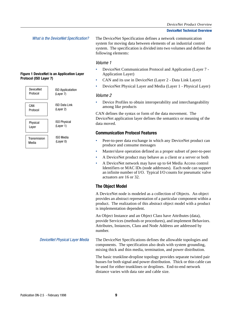#### *DeviceNet Product Overview*

#### **DeviceNet Technical Overview**

What is the DeviceNet Specification? The DeviceNet Specification defines a network communication system for moving data between elements of an industrial control system. The specification is divided into two volumes and defines the following elements:

## Volume 1

- DeviceNet Communication Protocol and Application (Layer 7 Application Layer)
- CAN and its use in DeviceNet (Layer 2 Data Link Layer)
- DeviceNet Physical Layer and Media (Layer 1 Physical Layer)

#### Volume 2

• Device Profiles to obtain interoperability and interchangeability among like products

CAN defines the syntax or form of the data movement. The DeviceNet application layer defines the semantics or meaning of the data moved.

## **Communication Protocol Features**

- Peer-to-peer data exchange in which any DeviceNet product can produce and consume messages
- Master/slave operation defined as a proper subset of peer-to-peer
- A DeviceNet product may behave as a client or a server or both
- A DeviceNet network may have up to 64 Media Access control Identifiers or MAC IDs (node addresses). Each node can support an infinite number of I/O. Typical I/O counts for pneumatic valve actuators are 16 or 32.

## **The Object Model**

A DeviceNet node is modeled as a collection of Objects. An object provides an abstract representation of a particular component within a product. The realization of this abstract object model with a product is implementation dependent.

An Object Instance and an Object Class have Attributes (data), provide Services (methods or procedures), and implement Behaviors. Attributes, Instances, Class and Node Address are addressed by number.

DeviceNet Physical Layer Media The DeviceNet Specifications defines the allowable topologies and components. The specification also deals with system grounding, mixing thick and thin media, termination, and power distribution.

> The basic trunkline-dropline topology provides separate twisted pair busses for both signal and power distribution. Thick or thin cable can be used for either trunklines or droplines. End-to-end network distance varies with data rate and cable size.

#### **Figure 1 DeviceNet is an Application Layer Protocol (ISO Layer 7)**

DeviceNet Protocol CAN Protocol Physical Layer **Transmission** Media ISO Applicatation (Layer 7) ISO Data Link (Layer 2) ISO Physical (Layer 1) ISO Media (Layer 0)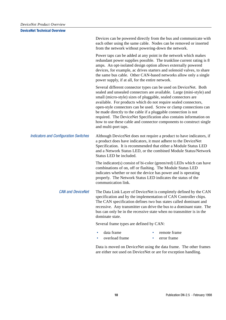Devices can be powered directly from the bus and communicate with each other using the same cable. Nodes can be removed or inserted from the network without powering-down the network.

Power taps can be added at any point in the network which makes redundant power supplies possible. The trunkline current rating is 8 amps. An opt-isolated design option allows externally powered devices, for example, ac drives starters and solenoid valves, to share the same bus cable. Other CAN-based networks allow only a single power supply, if at all, for the entire network.

Several different connector types can be used on DeviceNet. Both sealed and unsealed connectors are available. Large (mini-style) and small (micro-style) sizes of pluggable, sealed connectors are available. For products which do not require sealed connectors, open-style connectors can be used. Screw or clamp connections can be made directly to the cable if a pluggable connection is not required. The DeviceNet Specification also contains information on how to use these cable and connector components to construct single and multi-port taps.

Indicators and Configuration Switches Although DeviceNet does not require a product to have indicators, if a product does have indicators, it must adhere to the DeviceNet Specification. It is recommended that either a Module Status LED and a Network Status LED, or the combined Module Status/Network Status LED be included.

> The indicator(s) consist of bi-color (green/red) LEDs which can have combinations of on, off or flashing. The Module Status LED indicates whether or not the device has power and is operating properly. The Network Status LED indicates the status of the communication link.

CAN and DeviceNet The Data Link Layer of DeviceNet is completely defined by the CAN specification and by the implementation of CAN Controller chips. The CAN specification defines two bus states called dominant and recessive. Any transmitter can drive the bus to a dominant state. The bus can only be in the recessive state when no transmitter is in the dominate state.

Several frame types are defined by CAN:

- data frame remote frame
	- overload frame error frame

Data is moved on DeviceNet using the data frame. The other frames are either not used on DeviceNet or are for exception handling.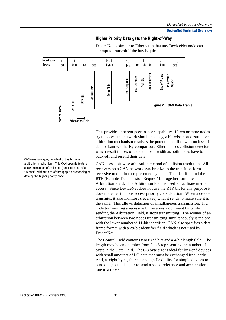## **Higher Priority Data gets the Right-of-Way**

Interframe 7 1 11 1 6  $0.8$ 15 1 1 1  $>=$ 3 Space bit bit bit bit bits bit bits bytes bits bits bits Ack Delimiter Ack Delimiter nd of Frame End of Frame Interframe Space **CRC** Delimiter CRC Delimiter **CRC** Sequence Ack Slot CRC Sequence Data Field Control Field Control Field RTR Bit dentifier **Figure 2 CAN Data Frame** Start of Frame Start of Frame } Arbitration Field

DeviceNet is similar to Ethernet in that any DeviceNet node can attempt to transmit if the bus is quiet.

This provides inherent peer-to-peer capability. If two or more nodes try to access the network simultaneously, a bit-wise non-destructive arbitration mechanism resolves the potential conflict with no loss of data or bandwidth. By comparison, Ethernet uses collision detectors which result in loss of data and bandwidth as both nodes have to back-off and resend their data.

CAN uses a bit-wise arbitration method of collision resolution. All receivers on a CAN network synchronize to the transition form recessive to dominant represented by a bit. The identifier and the RTR (Remote Transmission Request) bit together form the Arbitration Field. The Arbitration Field is used to facilitate media access. Since DeviceNet does not use the RTR bit for any purpose it does not enter into bus access priority consideration. When a device transmits, it also monitors (receives) what it sends to make sure it is the same. This allows detection of simultaneous transmission. If a node transmitting a recessive bit receives a dominant bit while sending the Arbitration Field, it stops transmitting. The winner of an arbitration between two nodes transmitting simultaneously is the one with the lower numbered 11-bit identifier. CAN also specifies a data frame format with a 29-bit identifier field which is not used by DeviceNet.

The Control Field contains two fixed bits and a 4-bit length field. The length may be any number from 0 to 8 representing the number of bytes in the Data Field. The 0-8 byte size is ideal for low-end devices with small amounts of I/O data that must be exchanged frequently. And, at eight bytes, there is enough flexibility for simple devices to send diagnostic data, or to send a speed reference and acceleration rate to a drive.

CAN uses a unique, non-destructive bit-wise arbitration mechanism. This CAN-specific feature allows resolution of collisions (determination of a "winner") without loss of throughput or resending of data by the higher priority node.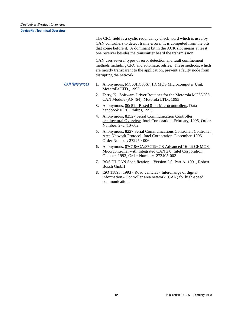The CRC field is a cyclic redundancy check word which is used by CAN controllers to detect frame errors. It is computed from the bits that come before it. A dominant bit in the ACK slot means at least one receiver besides the transmitter heard the transmission.

CAN uses several types of error detection and fault confinement methods including CRC and automatic retries. These methods, which are mostly transparent to the application, prevent a faulty node from disrupting the network.

- CAN References **1.** Anonymous, MC68HC05X4 HCMOS Microcomputer Unit, Motorolla LTD., 1992
	- **2.** Terry, K., Software Driver Routines for the Motorola MC68C05 CAN Module (AN464), Motorola LTD., 1993
	- **3.** Anonymous, 80c51 Based 8-bit Microcontrollers, Data handbook IC20, Philips, 1995
	- **4.** Anonymous, 82527 Serial Communication Controller architectural Overview, Intel Corporation, February, 1995, Order Number: 272410-002
	- **5.** Anonymous, 8227 Serial Communications Controller, Controller Area Network Protocol, Intel Corporation, December, 1995 Order Number: 272250-006
	- **6.** Anonymous, 87C196CA/87C196CB Advanced 16-bit CHMOS Micorcontroller with Integrated CAN 2.0, Intel Corporation, October, 1993, Order Number; 272405-002
	- **7.** BOSCH CAN Specification—Version 2.0, Part A. 1991, Robert Bosch GmbH
	- **8.** ISO 11898: 1993 Road vehicles Interchange of digital information - Controller area network (CAN) for high-speed communication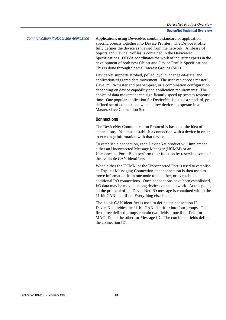Communication Protocol and Application Applications using DeviceNet combine standard or application specific objects together into Device Profiles. The Device Profile fully defines the device as viewed from the network. A library of objects and Device Profiles is contained in the DeviceNet Specifications. ODVA coordinates the work of industry experts in the development of both new Object and Device Profile Specifications. This is done through Special Interest Groups (SIGs).

> DeviceNet supports strobed, polled, cyclic, change-of-state, and application-triggered data movement. The user can choose master/ slave, multi-master and peer-to-peer, or a combination configuration depending on device capability and application requirements. The choice of data movement can significantly speed up system response time. One popular application for DeviceNet is to use a standard, predefined set of connections which allow devices to operate in a Master/Slave Connection Set.

## **Connections**

The DeviceNet Communication Protocol is based on the idea of connections. You must establish a connection with a device in order to exchange information with that device.

To establish a connection, each DeviceNet product will implement either an Unconnected Message Manager (UCMM) or an Unconnected Port. Both perform their function by reserving some of the available CAN identifiers.

When either the UCMM or the Unconnected Port is used to establish an Explicit Messaging Connection, that connection is then used to move information from one node to the other, or to establish additional I/O connections. Once connections have been established, I/O data may be moved among devices on the network. At this point, all the protocol of the DeviceNet I/O message is contained within the 11-bit CAN identifier. Everything else is data.

The 11-bit CAN identifier is used to define the connection ID. DeviceNet divides the 11-bit CAN identifier into four groups. The first three defined groups contain two fields—one 6-bit field for MAC ID and the other for Message ID. The combined fields define the connection ID.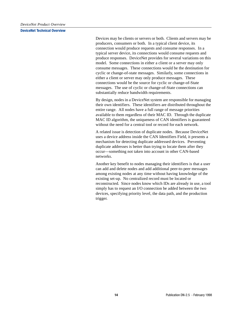Devices may be clients or servers or both. Clients and servers may be producers, consumers or both. In a typical client device, its connection would produce requests and consume responses. In a typical server device, its connections would consume requests and produce responses. DeviceNet provides for several variations on this model. Some connections in either a client or a server may only consume messages. These connections would be the destination for cyclic or change-of-state messages. Similarly, some connections in either a client or server may only produce messages. These connections would be the source for cyclic or change-of-State messages. The use of cyclic or change-of-State connections can substantially reduce bandwidth requirements.

By design, nodes in a DeviceNet system are responsible for managing their own identifiers. These identifiers are distributed throughout the entire range. All nodes have a full range of message priorities available to them regardless of their MAC ID. Through the duplicate MAC ID algorithm, the uniqueness of CAN identifiers is guaranteed without the need for a central tool or record for each network.

A related issue is detection of duplicate nodes. Because DeviceNet uses a device address inside the CAN Identifiers Field, it presents a mechanism for detecting duplicate addressed devices. Preventing duplicate addresses is better than trying to locate them after they occur—something not taken into account in other CAN-based networks.

Another key benefit to nodes managing their identifiers is that a user can add and delete nodes and add additional peer-to-peer messages among existing nodes at any time without having knowledge of the existing set-up. No centralized record must be located or reconstructed. Since nodes know which IDs are already in use, a tool simply has to request an I/O connection be added between the two devices, specifying priority level, the data path, and the production trigger.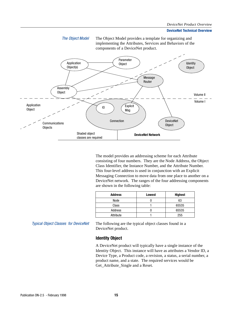



The model provides an addressing scheme for each Attribute consisting of four numbers. They are the Node Address, the Object Class Identifier, the Instance Number, and the Attribute Number. This four-level address is used in conjunction with an Explicit Messaging Connection to move data from one place to another on a DeviceNet network. The ranges of the four addressing components are shown in the following table:

| <b>Address</b> | <b>Lowest</b> | <b>Highest</b> |
|----------------|---------------|----------------|
| Node           |               | 63             |
| Class          |               | 65535          |
| Address        |               | 65535          |
| Attribute      |               | 255            |

Typical Object Classes for DeviceNet The following are the typical object classes found in a DeviceNet product.

#### **Identity Object**

A DeviceNet product will typically have a single instance of the Identity Object. This instance will have as attributes a Vendor ID, a Device Type, a Product code, a revision, a status, a serial number, a product name, and a state. The required services would be Get\_Attribute\_Single and a Reset.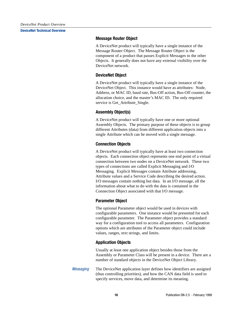## **Message Router Object**

A DeviceNet product will typically have a single instance of the Message Router Object. The Message Router Object is the component of a product that passes Explicit Messages to the other Objects. It generally does not have any external visibility over the DeviceNet network.

## **DeviceNet Object**

A DeviceNet product will typically have a single instance of the DeviceNet Object. This instance would have as attributes: Node, Address, or MAC ID, baud rate, Bus-Off action, Bus-Off counter, the allocation choice, and the master's MAC ID. The only required service is Get Attribute Single.

## **Assembly Object(s)**

A DeviceNet product will typically have one or more optional Assembly Objects. The primary purpose of these objects is to group different Attributes (data) from different application objects into a single Attribute which can be moved with a single message.

## **Connection Objects**

A DeviceNet product will typically have at least two connection objects. Each connection object represents one end point of a virtual connection between two nodes on a DeviceNet network. These two types of connections are called Explicit Messaging and I/O Messaging. Explicit Messages contain Attribute addressing, Attribute values and a Service Code describing the desired action. I/O messages contain nothing but data. In an I/O message, all the information about what to do with the data is contained in the Connection Object associated with that I/O message.

## **Parameter Object**

The optional Parameter object would be used in devices with configurable parameters. One instance would be presented for each configurable parameter. The Parameter object provides a standard way for a configuration tool to access all parameters. Configuration options which are attributes of the Parameter object could include values, ranges, text strings, and limits.

## **Application Objects**

Usually at least one application object besides those from the Assembly or Parameter Class will be present in a device. There are a number of standard objects in the DeviceNet Object Library.

Messaging The DeviceNet application layer defines how identifiers are assigned (thus controlling priorities), and how the CAN data field is used to specify services, move data, and determine its meaning.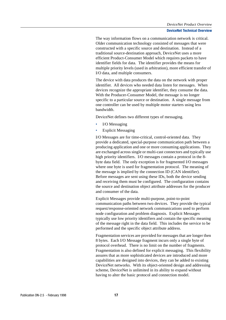The way information flows on a communication network is critical. Older communication technology consisted of messages that were constructed with a specific source and destination. Instead of a traditional source-destination approach, DeviceNet uses a more efficient Product-Consumer Model which requires packets to have identifier fields for data. The identifier provides the means for multiple priority levels (used in arbitration), more efficient transfer of I/O data, and multiple consumers.

The device with data produces the data on the network with proper identifier. All devices who needed data listen for messages. When devices recognize the appropriate identifier, they consume the data. With the Producer-Consumer Model, the message is no longer specific to a particular source or destination. A single message from one controller can be used by multiple motor starters using less bandwidth.

DeviceNet defines two different types of messaging.

- I/O Messaging
- Explicit Messaging

I/O Messages are for time-critical, control-oriented data. They provide a dedicated, special-purpose communication path between a producing application and one or more consuming applications. They are exchanged across single or multi-cast connectors and typically use high priority identifiers. I/O messages contain a protocol in the 8 byte data field. The only exception is for fragmented I/O messages where one byte is used for fragmentation protocol. The meaning of the message is implied by the connection ID (CAN identifier). Before messages are sent using these IDs, both the device sending and receiving them must be configured. The configuration contains the source and destination object attribute addresses for the producer and consumer of the data.

Explicit Messages provide multi-purpose, point-to-point communication paths between two devices. They provide the typical request/response-oriented network communications used to perform node configuration and problem diagnosis. Explicit Messages typically use low priority identifiers and contain the specific meaning of the message right in the data field. This includes the service to be performed and the specific object attribute address.

Fragmentation services are provided for messages that are longer then 8 bytes. Each I/O Message fragment incurs only a single byte of protocol overhead. There is no limit on the number of fragments. Fragmentation is also defined for explicit messaging. This flexibility assures that as more sophisticated devices are introduced and more capabilities are designed into devices, they can be added to existing DeviceNet networks. With its object-oriented design and addressing scheme, DeviceNet is unlimited in its ability to expand without having to alter the basic protocol and connection model.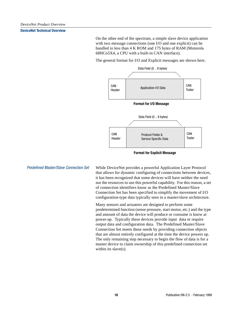On the other end of the spectrum, a simple slave device application with two message connections (one I/O and one explicit) can be handled in less than 4 K ROM and 175 bytes of RAM (Motorola 68HCo5X4, a CPU with a built-in CAN interface).

The general format for I/O and Explicit messages are shown here.



**Format for Explicit Message**

Predefined Master/Slave Connection Set While DeviceNet provides a powerful Application Layer Protocol that allows for dynamic configuring of connections between devices, it has been recognized that some devices will have neither the need nor the resources to use this powerful capability. For this reason, a set of connection identifiers know as the Predefined Master/Slave Connection Set has been specified to simplify the movement of I/O configuration-type data typically seen in a master/slave architecture.

> Many sensors and actuators are designed to perform some predetermined function (sense pressure, start motor, etc.) and the type and amount of data the device will produce or consume is know at power-up. Typically these devices provide input data or require output data and configuration data. The Predefined Master/Slave Connection Set meets these needs by providing connection objects that are almost entirely configured at the time the device powers up. The only remaining step necessary to begin the flow of data is for a master device to claim ownership of this predefined connection set within its slave(s).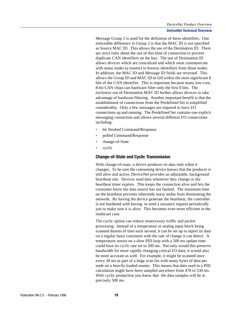Message Group 2 is used for the definition of these identifiers. One noticeable difference in Group 2 is that the MAC ID is not specified as Source MAC ID. This allows the use of the Destination ID. There are strict rules about the use of this kind of connection to prevent duplicate CAN identifiers on the bus. The use of Destination ID allows devices which are centralized and which must communicate with many nodes (a master) to borrow identifiers from those nodes. In addition, the MAC ID and Message ID fields are reversed. This allows the Group ID and MAC ID to fall within the most significant 8 bits of the CAN identifier. This is important because many low-cost, 8-bit CAN chips can hardware filter only the first 8 bits. The exclusive use of Destination MAC ID further allows devices to take advantage of hardware filtering. Another important benefit is that the establishment of connections from the Predefined Set is simplified considerably. Only a few messages are required to have I/O connections up and running. The Predefined Set contains one explicit messaging connection and allows several different I/O connections including:

- bit Strobed Command/Response
- polled Command/Response
- change-of-State
- cyclic

## **Change-of-State and Cyclic Transmission**

With change-of-state, a device produces its data only when it changes. To be sure the consuming device knows that the producer is still alive and active, DeviceNet provides an adjustable, background heartbeat rate. Devices send data whenever they change or the heartbeat timer expires. This keeps the connection alive and lets the consumer know the data source has not faulted. The minimum time on the heartbeat prevents inherently noisy nodes from dominating the network. By having the device generate the heartbeat, the controller is not burdened with having to send a nuisance request periodically just to make sure it is alive. This becomes even more efficient in the multicast case.

The cyclic option can reduce unnecessary traffic and packet processing. Instead of a temperature or analog input block being scanned dozens of time each second, it can be set up to report its data on a regular basis consistent with the rate of change it can detect. A temperature sensor on a slow PID loop with a 500 ms update time could have its cyclic rate set to 500 ms. Not only would this preserve bandwidth for more rapidly changing critical I/O data, it would also be more accurate as well. For example, it might be scanned once every 30 ms as part of a large scan list with many bytes of data per node on a heavily loaded master. This means that data used in a PID calculation might have been sampled anywhere from 470 to 530 ms. With cyclic production you know that the data samples will be at precisely 500 ms.